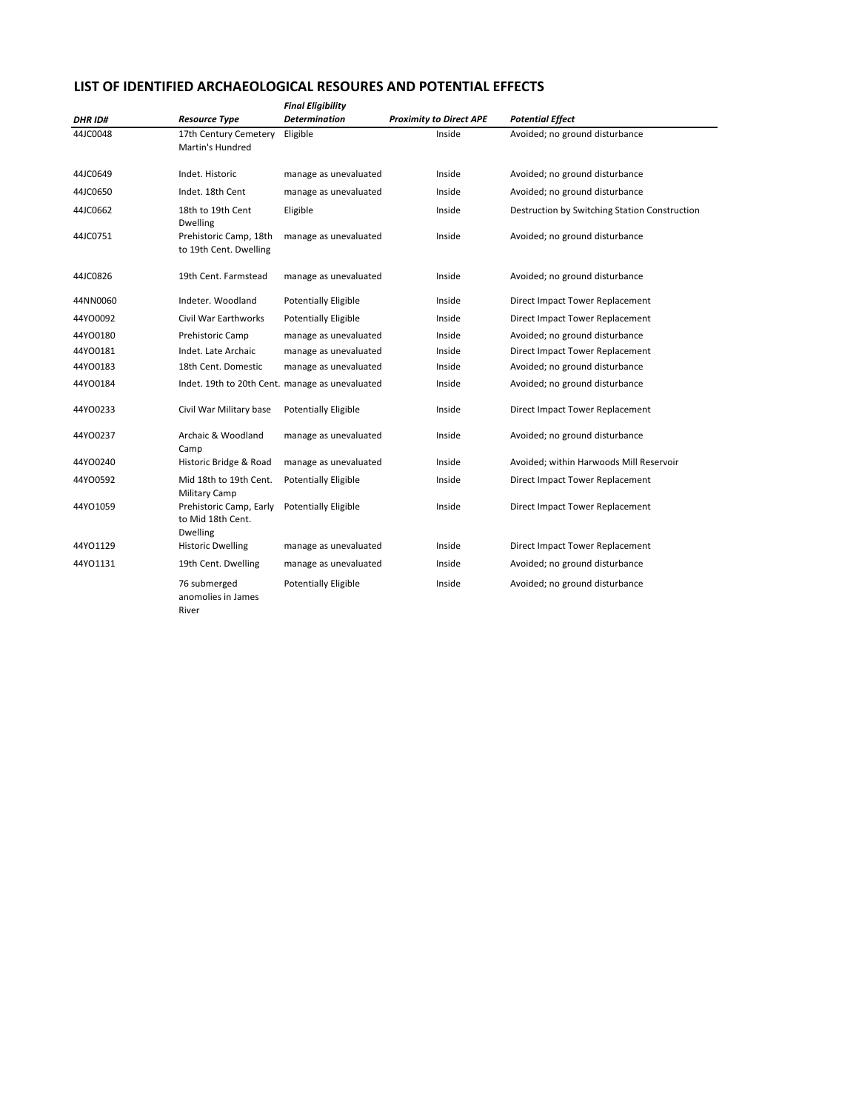## **LIST OF IDENTIFIED ARCHAEOLOGICAL RESOURES AND POTENTIAL EFFECTS**

|                           |                                                                          | <b>Final Eligibility</b>         |                                          |                                                           |
|---------------------------|--------------------------------------------------------------------------|----------------------------------|------------------------------------------|-----------------------------------------------------------|
| <b>DHRID#</b><br>44JC0048 | <b>Resource Type</b><br>17th Century Cemetery<br><b>Martin's Hundred</b> | <b>Determination</b><br>Eligible | <b>Proximity to Direct APE</b><br>Inside | <b>Potential Effect</b><br>Avoided; no ground disturbance |
| 44JC0649                  | Indet. Historic                                                          | manage as unevaluated            | Inside                                   | Avoided; no ground disturbance                            |
| 44JC0650                  | Indet. 18th Cent                                                         | manage as unevaluated            | Inside                                   | Avoided; no ground disturbance                            |
| 44JC0662                  | 18th to 19th Cent<br>Dwelling                                            | Eligible                         | Inside                                   | Destruction by Switching Station Construction             |
| 44JC0751                  | Prehistoric Camp, 18th<br>to 19th Cent. Dwelling                         | manage as unevaluated            | Inside                                   | Avoided; no ground disturbance                            |
| 44JC0826                  | 19th Cent. Farmstead                                                     | manage as unevaluated            | Inside                                   | Avoided; no ground disturbance                            |
| 44NN0060                  | Indeter, Woodland                                                        | <b>Potentially Eligible</b>      | Inside                                   | Direct Impact Tower Replacement                           |
| 44YO0092                  | Civil War Earthworks                                                     | <b>Potentially Eligible</b>      | Inside                                   | Direct Impact Tower Replacement                           |
| 44YO0180                  | <b>Prehistoric Camp</b>                                                  | manage as unevaluated            | Inside                                   | Avoided; no ground disturbance                            |
| 44YO0181                  | Indet. Late Archaic                                                      | manage as unevaluated            | Inside                                   | Direct Impact Tower Replacement                           |
| 44YO0183                  | 18th Cent. Domestic                                                      | manage as unevaluated            | Inside                                   | Avoided; no ground disturbance                            |
| 44YO0184                  | Indet. 19th to 20th Cent. manage as unevaluated                          |                                  | Inside                                   | Avoided; no ground disturbance                            |
| 44YO0233                  | Civil War Military base                                                  | <b>Potentially Eligible</b>      | Inside                                   | Direct Impact Tower Replacement                           |
| 44YO0237                  | Archaic & Woodland<br>Camp                                               | manage as unevaluated            | Inside                                   | Avoided; no ground disturbance                            |
| 44YO0240                  | Historic Bridge & Road                                                   | manage as unevaluated            | Inside                                   | Avoided; within Harwoods Mill Reservoir                   |
| 44YO0592                  | Mid 18th to 19th Cent.<br><b>Military Camp</b>                           | Potentially Eligible             | Inside                                   | Direct Impact Tower Replacement                           |
| 44YO1059                  | Prehistoric Camp, Early<br>to Mid 18th Cent.<br><b>Dwelling</b>          | <b>Potentially Eligible</b>      | Inside                                   | Direct Impact Tower Replacement                           |
| 44YO1129                  | <b>Historic Dwelling</b>                                                 | manage as unevaluated            | Inside                                   | Direct Impact Tower Replacement                           |
| 44YO1131                  | 19th Cent. Dwelling                                                      | manage as unevaluated            | Inside                                   | Avoided; no ground disturbance                            |
|                           | 76 submerged<br>anomolies in James<br>River                              | <b>Potentially Eligible</b>      | Inside                                   | Avoided; no ground disturbance                            |